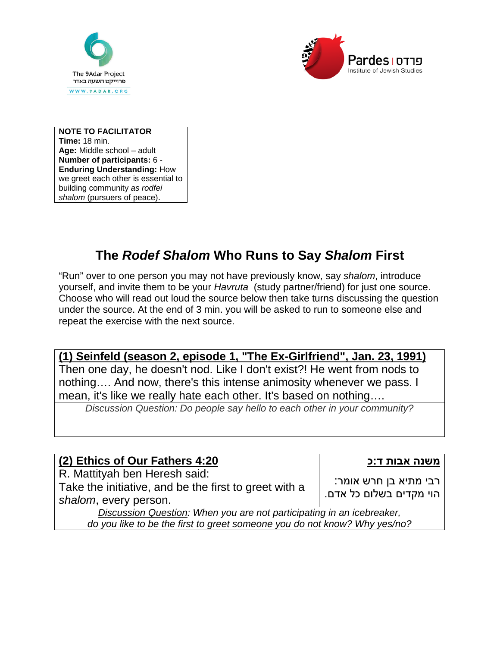



**NOTE TO FACILITATOR Time:** 18 min. **Age:** Middle school – adult **Number of participants:** 6 - **Enduring Understanding:** How we greet each other is essential to building community *as rodfei shalom* (pursuers of peace).

## **The** *Rodef Shalom* **Who Runs to Say** *Shalom* **First**

"Run" over to one person you may not have previously know, say *shalom*, introduce yourself, and invite them to be your *Havruta* (study partner/friend) for just one source. Choose who will read out loud the source below then take turns discussing the question under the source. At the end of 3 min. you will be asked to run to someone else and repeat the exercise with the next source.

## **(1) Seinfeld (season 2, episode 1, "The Ex-Girlfriend", Jan. 23, 1991)**

Then one day, he doesn't nod. Like I don't exist?! He went from nods to nothing…. And now, there's this intense animosity whenever we pass. I mean, it's like we really hate each other. It's based on nothing….

*Discussion Question: Do people say hello to each other in your community?*

| (2) Ethics of Our Fathers 4:20                                                                                  | משנה אבות ד:כ                                      |  |
|-----------------------------------------------------------------------------------------------------------------|----------------------------------------------------|--|
| R. Mattityah ben Heresh said:<br>Take the initiative, and be the first to greet with a<br>shalom, every person. | רבי מתיא בן חרש אומר:<br>  הוי מקדים בשלום כל אדם. |  |
| Discussion Question: When you are not participating in an icebreaker,                                           |                                                    |  |
| do you like to be the first to greet someone you do not know? Why yes/no?                                       |                                                    |  |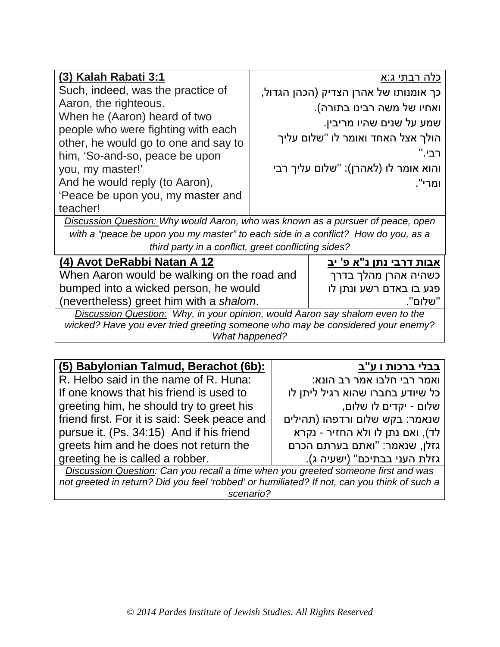| (3) Kalah Rabati 3:1                                                                                    | <u>כלה רבתי ג:א</u>                   |  |  |
|---------------------------------------------------------------------------------------------------------|---------------------------------------|--|--|
| Such, indeed, was the practice of                                                                       | כך אומנותו של אהרן הצדיק (הכהן הגדול, |  |  |
| Aaron, the righteous.                                                                                   | ואחיו של משה רבינו בתורה).            |  |  |
| When he (Aaron) heard of two                                                                            | שמע על שנים שהיו מריבין.              |  |  |
| people who were fighting with each<br>other, he would go to one and say to                              | הולך אצל האחד ואומר לו "שלום עליך     |  |  |
| him, 'So-and-so, peace be upon                                                                          | רבי."                                 |  |  |
| you, my master!'                                                                                        | והוא אומר לו (לאהרן): "שלום עליך רבי  |  |  |
| And he would reply (to Aaron),                                                                          | ומרי".                                |  |  |
| 'Peace be upon you, my master and                                                                       |                                       |  |  |
| teacher!                                                                                                |                                       |  |  |
| Discussion Question: Why would Aaron, who was known as a pursuer of peace, open                         |                                       |  |  |
| with a "peace be upon you my master" to each side in a conflict? How do you, as a                       |                                       |  |  |
| third party in a conflict, greet conflicting sides?                                                     |                                       |  |  |
| (4) Avot DeRabbi Natan A 12                                                                             | אבות דרבי נתן נ"א פ' יב               |  |  |
| When Aaron would be walking on the road and                                                             | כשהיה אהרן מהלך בדרך                  |  |  |
| bumped into a wicked person, he would                                                                   | פגע בו באדם רשע ונתן לו               |  |  |
| (nevertheless) greet him with a shalom.                                                                 | "שלום".                               |  |  |
| Discussion Question: Why, in your opinion, would Aaron say shalom even to the                           |                                       |  |  |
| wicked? Have you ever tried greeting someone who may be considered your enemy?<br><b>What happened?</b> |                                       |  |  |
|                                                                                                         |                                       |  |  |

| (5) Babylonian Talmud, Berachot (6b):                                             | <u>בבלי ברכות ו ע</u> "ב         |  |
|-----------------------------------------------------------------------------------|----------------------------------|--|
| R. Helbo said in the name of R. Huna:                                             | ואמר רבי חלבו אמר רב הונא:       |  |
| If one knows that his friend is used to                                           | כל שיודע בחברו שהוא רגיל ליתן לו |  |
| greeting him, he should try to greet his                                          | שלום - יקדים לו שלום,            |  |
| friend first. For it is said: Seek peace and                                      | שנאמר: בקש שלום ורדפהו (תהילים   |  |
| pursue it. (Ps. 34:15) And if his friend                                          | לד), ואם נתן לו ולא החזיר - נקרא |  |
| greets him and he does not return the                                             | גזלן, שנאמר: "ואתם בערתם הכרם    |  |
| greeting he is called a robber.                                                   | גזלת העני בבתיכם" (ישעיה ג).     |  |
| Discussion Question: Can you recall a time when you greeted someone first and was |                                  |  |

*Discussion Question: Can you recall a time when you greeted someone first and was not greeted in return? Did you feel 'robbed' or humiliated? If not, can you think of such a scenario?*